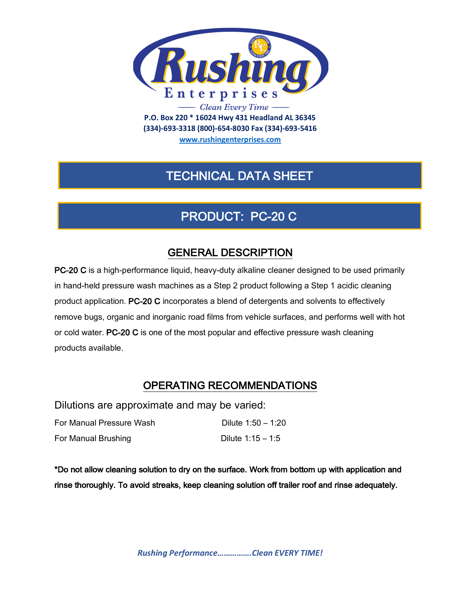

**(334)-693-3318 (800)-654-8030 Fax (334)-693-5416**

**www.rushingenterprises.com**

## TECHNICAL DATA SHEET

# PRODUCT: PC-20 C

### GENERAL DESCRIPTION

PC-20 C is a high-performance liquid, heavy-duty alkaline cleaner designed to be used primarily in hand-held pressure wash machines as a Step 2 product following a Step 1 acidic cleaning product application. PC-20 C incorporates a blend of detergents and solvents to effectively remove bugs, organic and inorganic road films from vehicle surfaces, and performs well with hot or cold water. PC-20 C is one of the most popular and effective pressure wash cleaning products available.

### OPERATING RECOMMENDATIONS

Dilutions are approximate and may be varied:

| For Manual Pressure Wash | Dilute 1:50 - 1:20  |
|--------------------------|---------------------|
| For Manual Brushing      | Dilute $1:15 - 1:5$ |

\*Do not allow cleaning solution to dry on the surface. Work from bottom up with application and rinse thoroughly. To avoid streaks, keep cleaning solution off trailer roof and rinse adequately.

*Rushing Performance…………….Clean EVERY TIME!*